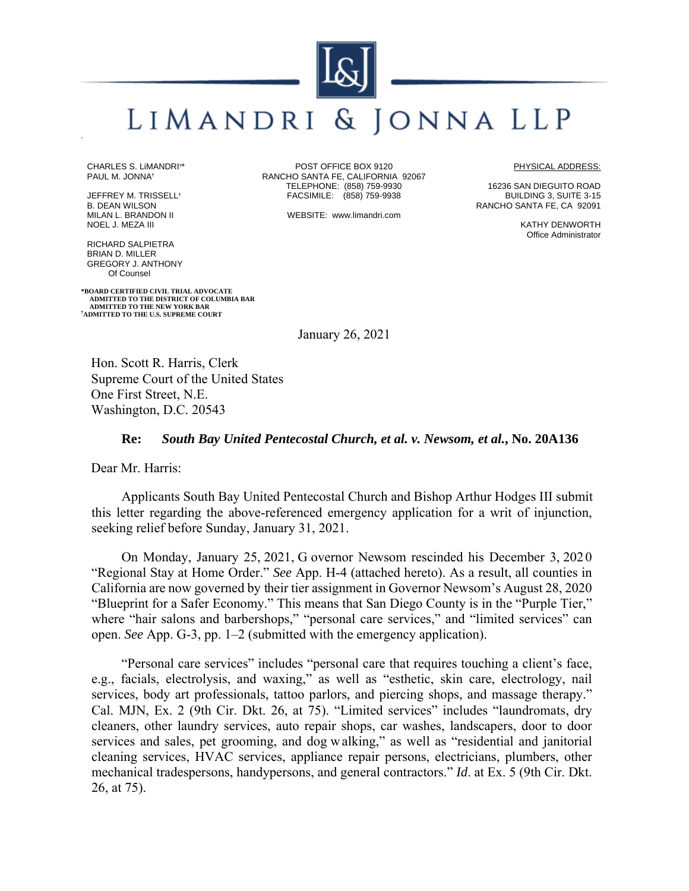# LIMANDRI & JONNA LLP

CHARLES S. LiMANDRI**†** \* PAUL M. JONNA**†**

JEFFREY M. TRISSELL**†** B. DEAN WILSON MILAN L. BRANDON II NOEL J. MEZA III

RICHARD SALPIETRA BRIAN D. MILLER GREGORY J. ANTHONY Of Counsel

**\*BOARD CERTIFIED CIVIL TRIAL ADVOCATE ADMITTED TO THE DISTRICT OF COLUMBIA BAR ADMITTED TO THE NEW YORK BAR † ADMITTED TO THE U.S. SUPREME COURT**

POST OFFICE BOX 9120 RANCHO SANTA FE, CALIFORNIA 92067 TELEPHONE: (858) 759-9930 FACSIMILE: (858) 759-9938

WEBSITE: www.limandri.com

PHYSICAL ADDRESS:

16236 SAN DIEGUITO ROAD BUILDING 3, SUITE 3-15 RANCHO SANTA FE, CA 92091

> KATHY DENWORTH Office Administrator

January 26, 2021

Hon. Scott R. Harris, Clerk Supreme Court of the United States One First Street, N.E. Washington, D.C. 20543

### **Re:** *South Bay United Pentecostal Church, et al. v. Newsom, et al.***, No. 20A136**

Dear Mr. Harris:

Applicants South Bay United Pentecostal Church and Bishop Arthur Hodges III submit this letter regarding the above-referenced emergency application for a writ of injunction, seeking relief before Sunday, January 31, 2021.

On Monday, January 25, 2021, G overnor Newsom rescinded his December 3, 202 0 "Regional Stay at Home Order." *See* App. H-4 (attached hereto). As a result, all counties in California are now governed by their tier assignment in Governor Newsom's August 28, 2020 "Blueprint for a Safer Economy." This means that San Diego County is in the "Purple Tier," where "hair salons and barbershops," "personal care services," and "limited services" can open. *See* App. G-3, pp. 1–2 (submitted with the emergency application).

"Personal care services" includes "personal care that requires touching a client's face, e.g., facials, electrolysis, and waxing," as well as "esthetic, skin care, electrology, nail services, body art professionals, tattoo parlors, and piercing shops, and massage therapy." Cal. MJN, Ex. 2 (9th Cir. Dkt. 26, at 75). "Limited services" includes "laundromats, dry cleaners, other laundry services, auto repair shops, car washes, landscapers, door to door services and sales, pet grooming, and dog w alking," as well as "residential and janitorial cleaning services, HVAC services, appliance repair persons, electricians, plumbers, other mechanical tradespersons, handypersons, and general contractors." *Id*. at Ex. 5 (9th Cir. Dkt. 26, at 75).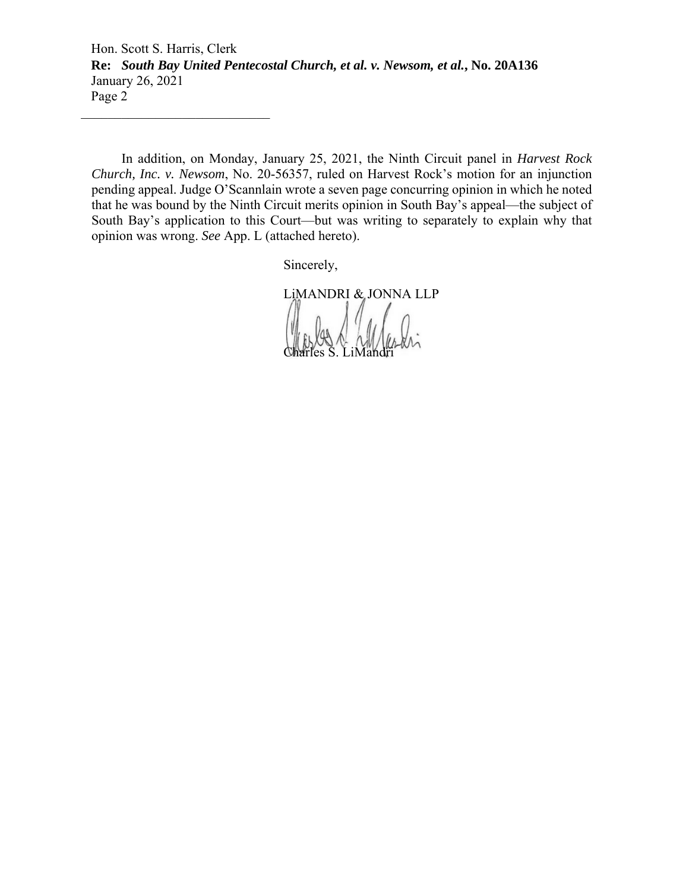Hon. Scott S. Harris, Clerk **Re:** *South Bay United Pentecostal Church, et al. v. Newsom, et al.***, No. 20A136**  January 26, 2021 Page 2

In addition, on Monday, January 25, 2021, the Ninth Circuit panel in *Harvest Rock Church, Inc. v. Newsom*, No. 20-56357, ruled on Harvest Rock's motion for an injunction pending appeal. Judge O'Scannlain wrote a seven page concurring opinion in which he noted that he was bound by the Ninth Circuit merits opinion in South Bay's appeal—the subject of South Bay's application to this Court—but was writing to separately to explain why that opinion was wrong. *See* App. L (attached hereto).

Sincerely,

LiMANDRI & JONNA LLP

Charles S. LiMandri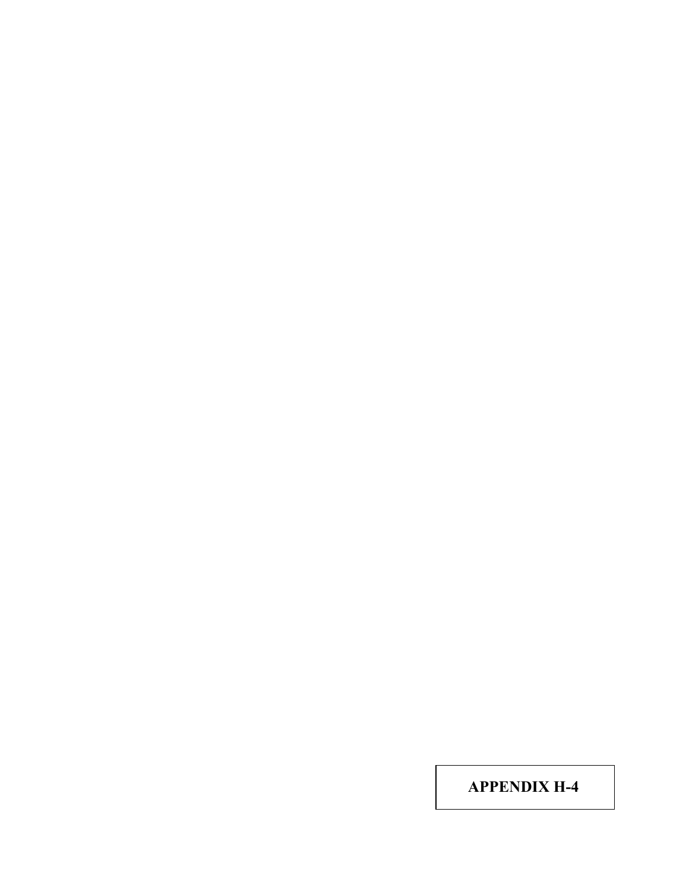**APPENDIX H-4**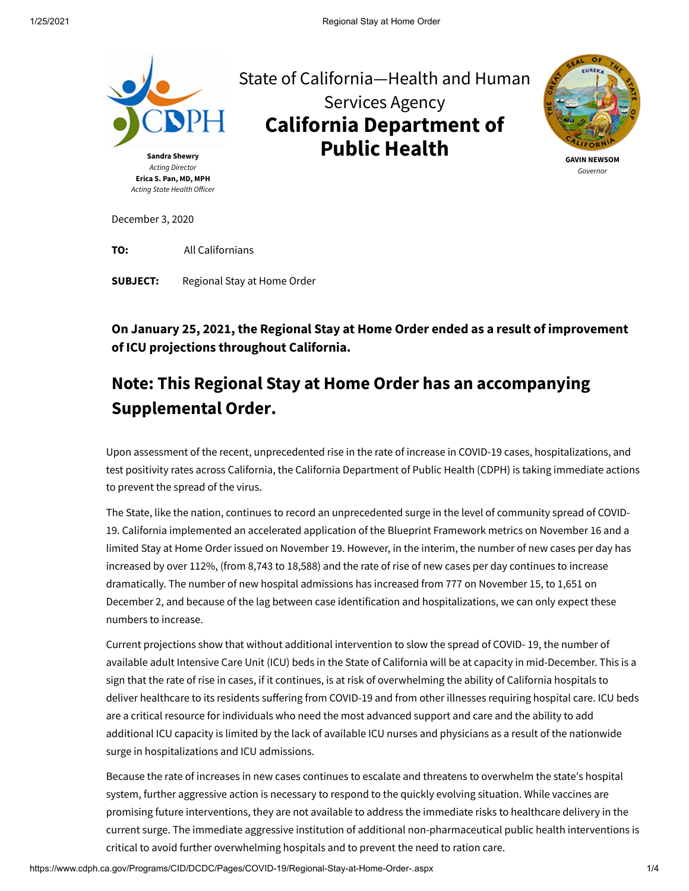

**TO:** All Californians

**SUBJECT:** Regional Stay at Home Order

**On January 25, 2021, the Regional Stay at Home Order ended as a result of improvement of ICU projections throughout California.**

## **Note: This Regional Stay at Home Order has an accompanying [Supplemental Order](https://www.cdph.ca.gov/Programs/CID/DCDC/Pages/COVID-19/supplement-regional-stay-at-home-order.aspx).**

 Upon assessment of the recent, unprecedented rise in the rate of increase in COVID-19 cases, hospitalizations, and test positivity rates across California, the California Department of Public Health (CDPH) is taking immediate actions to prevent the spread of the virus.

The State, like the nation, continues to record an unprecedented surge in the level of community spread of COVID-19. California implemented an accelerated application of the Blueprint Framework metrics on November 16 and a limited Stay at Home Order issued on November 19. However, in the interim, the number of new cases per day has increased by over 112%, (from 8,743 to 18,588) and the rate of rise of new cases per day continues to increase dramatically. The number of new hospital admissions has increased from 777 on November 15, to 1,651 on December 2, and because of the lag between case identification and hospitalizations, we can only expect these numbers to increase.

Current projections show that without additional intervention to slow the spread of COVID- 19, the number of available adult Intensive Care Unit (ICU) beds in the State of California will be at capacity in mid-December. This is a sign that the rate of rise in cases, if it continues, is at risk of overwhelming the ability of California hospitals to deliver healthcare to its residents suffering from COVID-19 and from other illnesses requiring hospital care. ICU beds are a critical resource for individuals who need the most advanced support and care and the ability to add additional ICU capacity is limited by the lack of available ICU nurses and physicians as a result of the nationwide surge in hospitalizations and ICU admissions.

Because the rate of increases in new cases continues to escalate and threatens to overwhelm the state's hospital system, further aggressive action is necessary to respond to the quickly evolving situation. While vaccines are promising future interventions, they are not available to address the immediate risks to healthcare delivery in the current surge. The immediate aggressive institution of additional non-pharmaceutical public health interventions is critical to avoid further overwhelming hospitals and to prevent the need to ration care.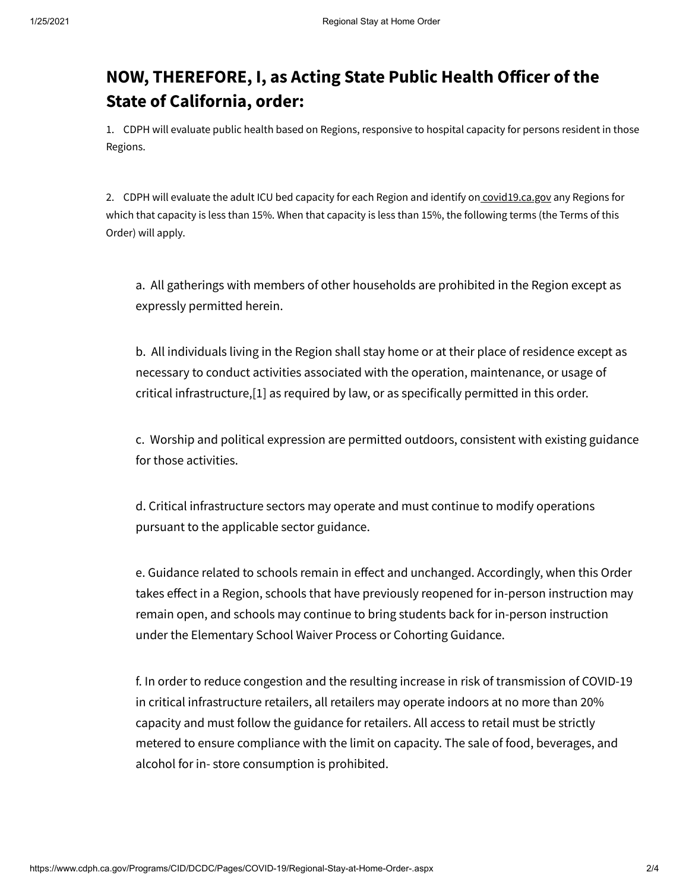## **NOW, THEREFORE, I, as Acting State Public Health Officer of the State of California, order:**

1. CDPH will evaluate public health based on Regions, responsive to hospital capacity for persons resident in those Regions.

2. CDPH will evaluate the adult ICU bed capacity for each Region and identify on covid19.ca.gov any Regions for which that capacity is less than 15%. When that capacity is less than 15%, the following terms (the Terms of this Order) will apply.

a. All gatherings with members of other households are prohibited in the Region except as expressly permitted herein.

b. All individuals living in the Region shall stay home or at their place of residence except as necessary to conduct activities associated with the operation, maintenance, or usage of critical infrastructure,[\[1\]](#page-6-0) as required by law, or as specifically permitted in this order.

c. [Worship a](https://files.covid19.ca.gov/pdf/guidance-places-of-worship--en.pdf)n[d political expression](https://covid19.ca.gov/stay-home-except-for-essential-needs/) are permitted outdoors, consistent with existing guidance for those activities.

d. Critical infrastructure sectors may operate and must continue to modify operations pursuant to the [applicable sector guidance](https://covid19.ca.gov/industry-guidance/).

e. [Guidance r](https://www.cdph.ca.gov/Programs/CID/DCDC/Pages/Guidance.aspx)elated to schools remain in effect and unchanged. Accordingly, when this Order takes effect in a Region, schools that have previously reopened for in-person instruction may remain open, and schools may continue to bring students back for in-person instruction under the [Elementary School Waiver Process o](https://www.cdph.ca.gov/Programs/CID/DCDC/Pages/COVID-19/In-Person-Elementary-Waiver-Process_DRAFT.aspx)[r Cohorting Guidance](https://www.cdph.ca.gov/Programs/CID/DCDC/Pages/COVID-19/small-groups-child-youth.aspx).

f. In order to reduce congestion and the resulting increase in risk of transmission of COVID-19 in critical infrastructure retailers, all retailers may operate indoors at no more than 20% capacity and must follow the [guidance for retailers](https://files.covid19.ca.gov/pdf/guidance-retail--en.pdf). All access to retail must be strictly metered to ensure compliance with the limit on capacity. The sale of food, beverages, and alcohol for in- store consumption is prohibited.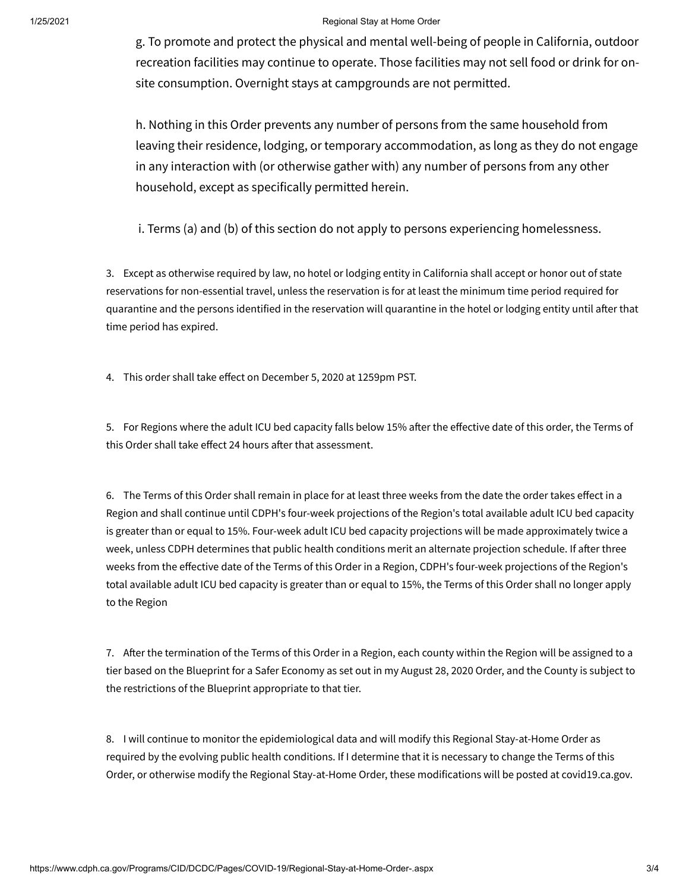#### 1/25/2021 Regional Stay at Home Order

g. To promote and protect the physical and mental well-being of people in California, outdoor recreation facilities may continue to operate. Those facilities may not sell food or drink for onsite consumption. Overnight stays at campgrounds are not permitted.

h. Nothing in this Order prevents any number of persons from the same household from leaving their residence, lodging, or temporary accommodation, as long as they do not engage in any interaction with (or otherwise gather with) any number of persons from any other household, except as specifically permitted herein.

i. Terms (a) and (b) of this section do not apply to persons experiencing homelessness.

3. Except as otherwise required by law, no hotel or lodging entity in California shall accept or honor out of state reservations for non-essential travel, unless the reservation is for at least the minimum time period required for quarantine and the persons identified in the reservation will quarantine in the hotel or lodging entity until after that time period has expired.

4. This order shall take effect on December 5, 2020 at 1259pm PST.

5. For Regions where the adult ICU bed capacity falls below 15% after the effective date of this order, the Terms of this Order shall take effect 24 hours after that assessment.

6. The Terms of this Order shall remain in place for at least three weeks from the date the order takes effect in a Region and shall continue until CDPH's four-week projections of the Region's total available adult ICU bed capacity is greater than or equal to 15%. Four-week adult ICU bed capacity projections will be made approximately twice a week, unless CDPH determines that public health conditions merit an alternate projection schedule. If after three weeks from the effective date of the Terms of this Order in a Region, CDPH's four-week projections of the Region's total available adult ICU bed capacity is greater than or equal to 15%, the Terms of this Order shall no longer apply to the Region

7. After the termination of the Terms of this Order in a Region, each county within the Region will be assigned to a tier based on the [Blueprint for a Safer Economy](https://covid19.ca.gov/safer-economy/) as set out in my August 28, 2020 Order, and the County is subject to the restrictions of the Blueprint appropriate to that tier.

8. I will continue to monitor the epidemiological data and will modify this Regional Stay-at-Home Order as required by the evolving public health conditions. If I determine that it is necessary to change the Terms of this Order, or otherwise modify the Regional Stay-at-Home Order, these modifications will be posted at covid19.ca.gov.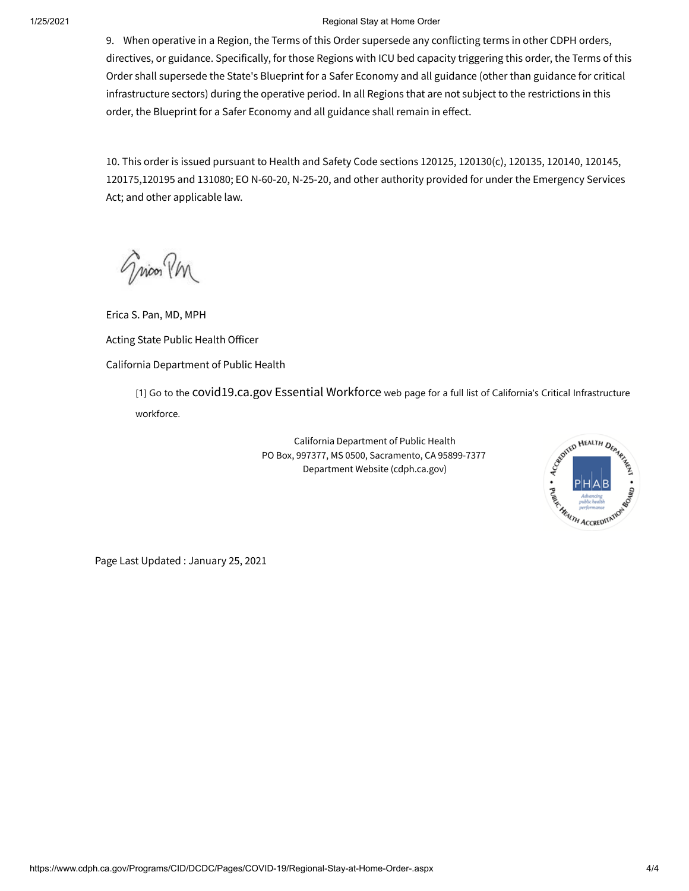#### 1/25/2021 Regional Stay at Home Order

9. When operative in a Region, the Terms of this Order supersede any conflicting terms in other CDPH orders, directives, or guidance. Specifically, for those Regions with ICU bed capacity triggering this order, the Terms of this Order shall supersede the State's [Blueprint for a Safer Economy a](https://covid19.ca.gov/safer-economy/)nd all guidance (other than guidance for critical infrastructure sectors) during the operative period. In all Regions that are not subject to the restrictions in this order, th[e Blueprint for a Safer Economy a](https://covid19.ca.gov/safer-economy/)nd all guidance shall remain in effect.

10. This order is issued pursuant to Health and Safety Code sections 120125, 120130(c), 120135, 120140, 120145, 120175,120195 and 131080; EO N-60-20, N-25-20, and other authority provided for under the Emergency Services Act; and other applicable law.

Gricon PM

Erica S. Pan, MD, MPH Acting State Public Health Officer California Department of Public Health

<span id="page-6-0"></span>[1] Go to the COVId19.ca.gov Essential Workforce web page for a full list of California's Critical Infrastructure workforce.

PHAB **ALTH ACCREDITA** 

California Department of Public Health PO Box, 997377, MS 0500, Sacramento, CA 95899-7377 Department Website [\(cdph.ca.gov](http://cdph.ca.gov/))

Page Last Updated : January 25, 2021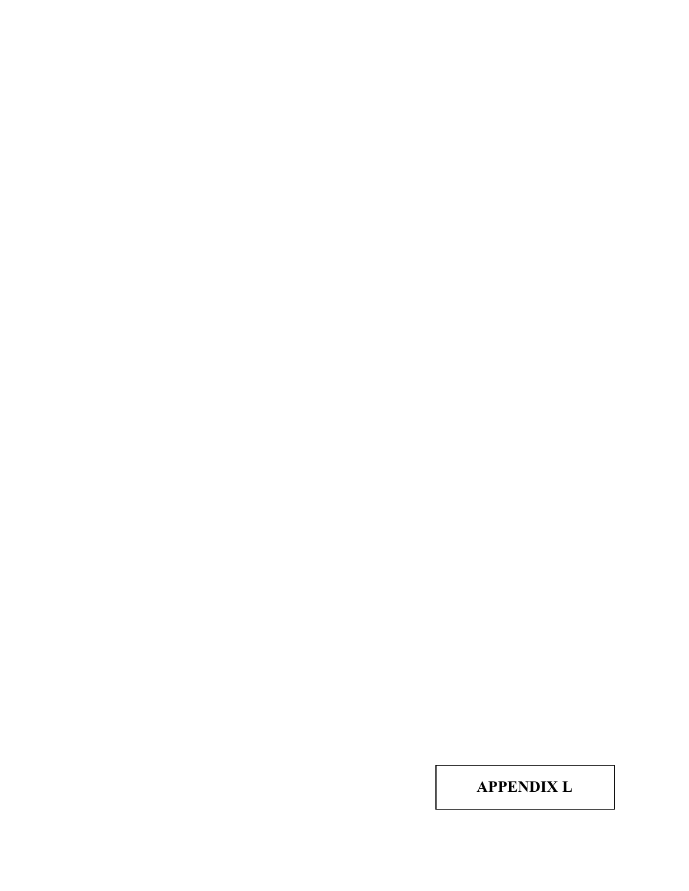**APPENDIX L**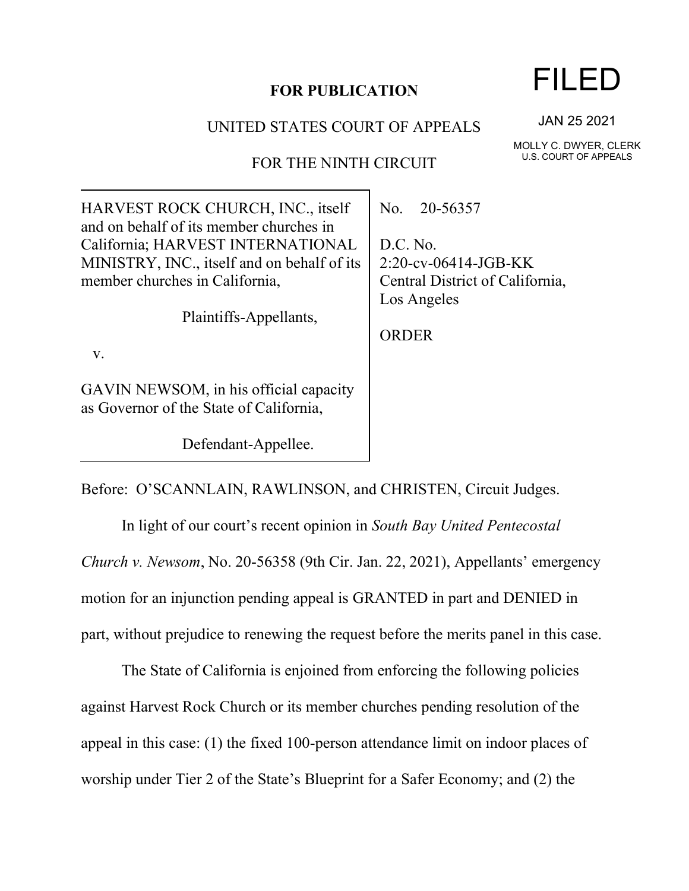## **FOR PUBLICATION**

## UNITED STATES COURT OF APPEALS

## FOR THE NINTH CIRCUIT

| HARVEST ROCK CHURCH, INC., itself<br>and on behalf of its member churches in      | No. 20-56357                    |
|-----------------------------------------------------------------------------------|---------------------------------|
| California; HARVEST INTERNATIONAL                                                 | D.C. No.                        |
| MINISTRY, INC., itself and on behalf of its                                       | $2:20$ -cv-06414-JGB-KK         |
| member churches in California,                                                    | Central District of California, |
|                                                                                   | Los Angeles                     |
| Plaintiffs-Appellants,                                                            |                                 |
|                                                                                   | <b>ORDER</b>                    |
| V.                                                                                |                                 |
| GAVIN NEWSOM, in his official capacity<br>as Governor of the State of California, |                                 |

Before: O'SCANNLAIN, RAWLINSON, and CHRISTEN, Circuit Judges.

Defendant-Appellee.

In light of our court's recent opinion in *South Bay United Pentecostal Church v. Newsom*, No. 20-56358 (9th Cir. Jan. 22, 2021), Appellants' emergency motion for an injunction pending appeal is GRANTED in part and DENIED in part, without prejudice to renewing the request before the merits panel in this case.

The State of California is enjoined from enforcing the following policies against Harvest Rock Church or its member churches pending resolution of the appeal in this case: (1) the fixed 100-person attendance limit on indoor places of worship under Tier 2 of the State's Blueprint for a Safer Economy; and (2) the

JAN 25 2021

MOLLY C. DWYER, CLERK U.S. COURT OF APPEALS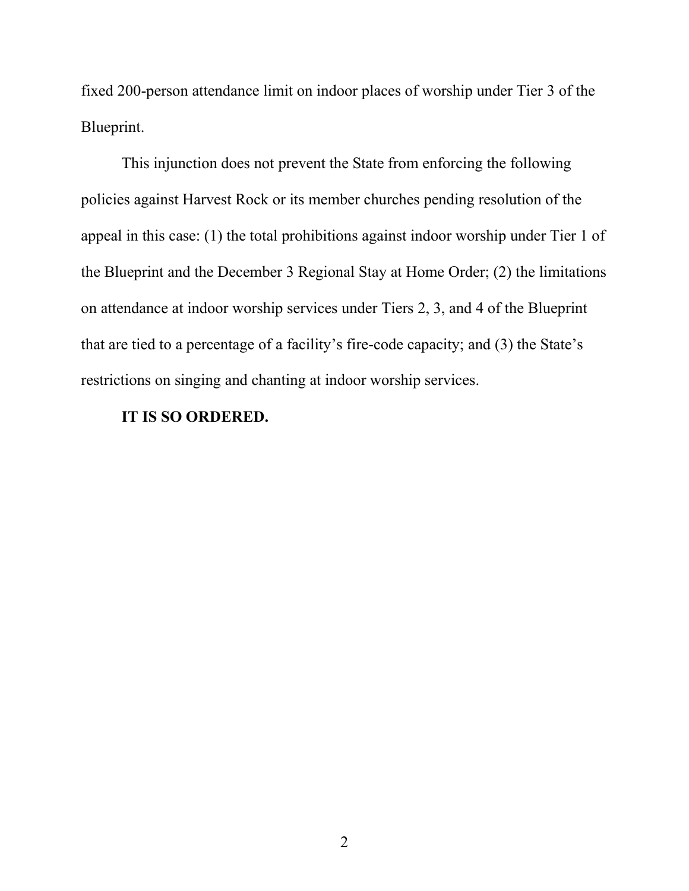fixed 200-person attendance limit on indoor places of worship under Tier 3 of the Blueprint.

This injunction does not prevent the State from enforcing the following policies against Harvest Rock or its member churches pending resolution of the appeal in this case: (1) the total prohibitions against indoor worship under Tier 1 of the Blueprint and the December 3 Regional Stay at Home Order; (2) the limitations on attendance at indoor worship services under Tiers 2, 3, and 4 of the Blueprint that are tied to a percentage of a facility's fire-code capacity; and (3) the State's restrictions on singing and chanting at indoor worship services.

## **IT IS SO ORDERED.**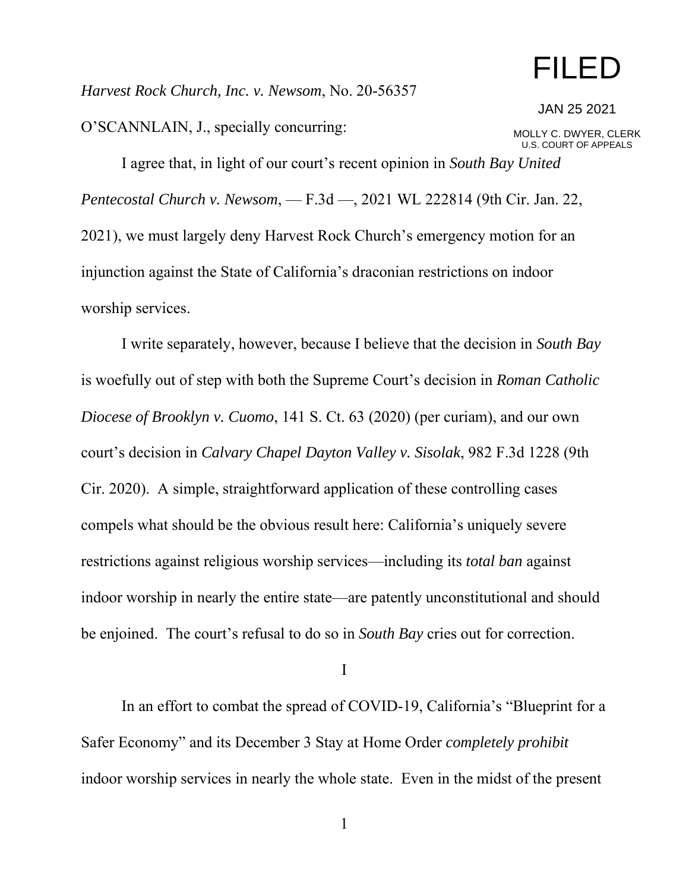## FILED

*Harvest Rock Church, Inc. v. Newsom*, No. 20-56357

O'SCANNLAIN, J., specially concurring:

JAN 25 2021

MOLLY C. DWYER, CLERK U.S. COURT OF APPEALS

I agree that, in light of our court's recent opinion in *South Bay United Pentecostal Church v. Newsom*, — F.3d —, 2021 WL 222814 (9th Cir. Jan. 22, 2021), we must largely deny Harvest Rock Church's emergency motion for an injunction against the State of California's draconian restrictions on indoor worship services.

I write separately, however, because I believe that the decision in *South Bay*  is woefully out of step with both the Supreme Court's decision in *Roman Catholic Diocese of Brooklyn v. Cuomo*, 141 S. Ct. 63 (2020) (per curiam), and our own court's decision in *Calvary Chapel Dayton Valley v. Sisolak*, 982 F.3d 1228 (9th Cir. 2020). A simple, straightforward application of these controlling cases compels what should be the obvious result here: California's uniquely severe restrictions against religious worship services—including its *total ban* against indoor worship in nearly the entire state—are patently unconstitutional and should be enjoined. The court's refusal to do so in *South Bay* cries out for correction.

I

In an effort to combat the spread of COVID-19, California's "Blueprint for a Safer Economy" and its December 3 Stay at Home Order *completely prohibit*  indoor worship services in nearly the whole state. Even in the midst of the present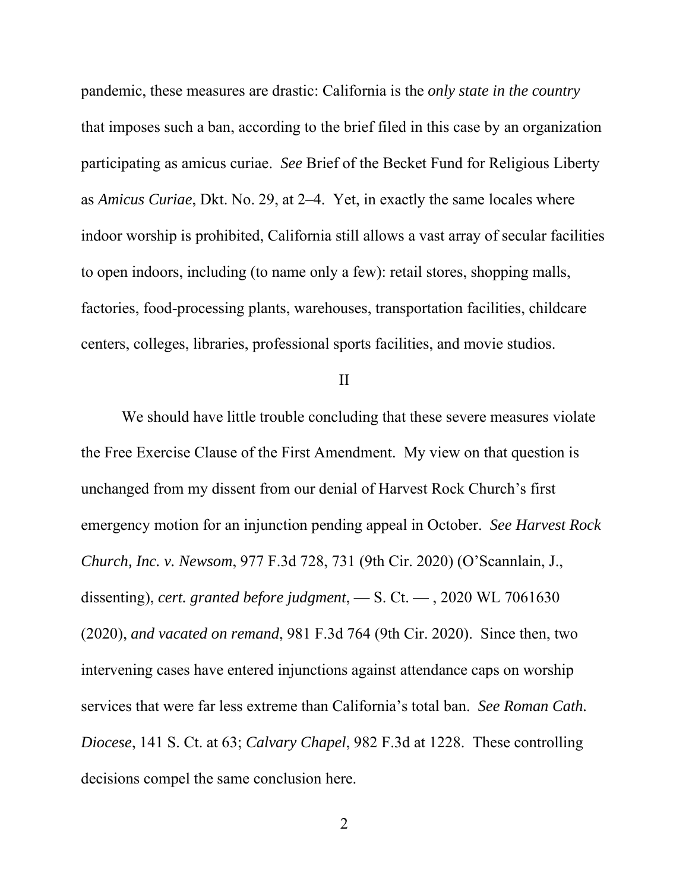pandemic, these measures are drastic: California is the *only state in the country* that imposes such a ban, according to the brief filed in this case by an organization participating as amicus curiae. *See* Brief of the Becket Fund for Religious Liberty as *Amicus Curiae*, Dkt. No. 29, at 2–4. Yet, in exactly the same locales where indoor worship is prohibited, California still allows a vast array of secular facilities to open indoors, including (to name only a few): retail stores, shopping malls, factories, food-processing plants, warehouses, transportation facilities, childcare centers, colleges, libraries, professional sports facilities, and movie studios.

II

We should have little trouble concluding that these severe measures violate the Free Exercise Clause of the First Amendment. My view on that question is unchanged from my dissent from our denial of Harvest Rock Church's first emergency motion for an injunction pending appeal in October. *See Harvest Rock Church, Inc. v. Newsom*, 977 F.3d 728, 731 (9th Cir. 2020) (O'Scannlain, J., dissenting), *cert. granted before judgment*, — S. Ct. — , 2020 WL 7061630 (2020), *and vacated on remand*, 981 F.3d 764 (9th Cir. 2020). Since then, two intervening cases have entered injunctions against attendance caps on worship services that were far less extreme than California's total ban. *See Roman Cath. Diocese*, 141 S. Ct. at 63; *Calvary Chapel*, 982 F.3d at 1228. These controlling decisions compel the same conclusion here.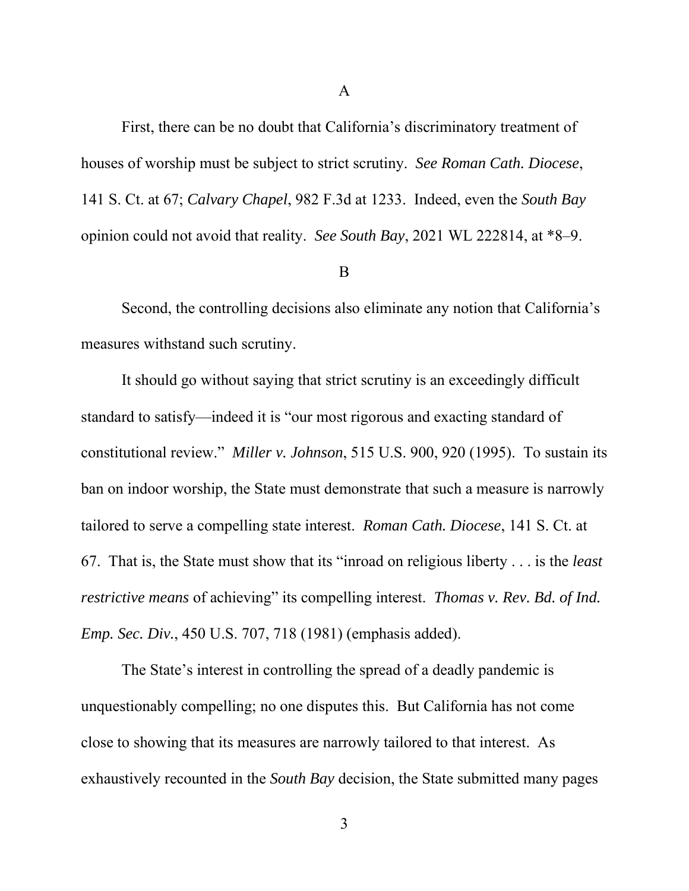First, there can be no doubt that California's discriminatory treatment of houses of worship must be subject to strict scrutiny. *See Roman Cath. Diocese*, 141 S. Ct. at 67; *Calvary Chapel*, 982 F.3d at 1233. Indeed, even the *South Bay*  opinion could not avoid that reality. *See South Bay*, 2021 WL 222814, at \*8–9.

#### B

Second, the controlling decisions also eliminate any notion that California's measures withstand such scrutiny.

It should go without saying that strict scrutiny is an exceedingly difficult standard to satisfy—indeed it is "our most rigorous and exacting standard of constitutional review." *Miller v. Johnson*, 515 U.S. 900, 920 (1995). To sustain its ban on indoor worship, the State must demonstrate that such a measure is narrowly tailored to serve a compelling state interest. *Roman Cath. Diocese*, 141 S. Ct. at 67. That is, the State must show that its "inroad on religious liberty . . . is the *least restrictive means* of achieving" its compelling interest. *Thomas v. Rev. Bd. of Ind. Emp. Sec. Div.*, 450 U.S. 707, 718 (1981) (emphasis added).

The State's interest in controlling the spread of a deadly pandemic is unquestionably compelling; no one disputes this. But California has not come close to showing that its measures are narrowly tailored to that interest. As exhaustively recounted in the *South Bay* decision, the State submitted many pages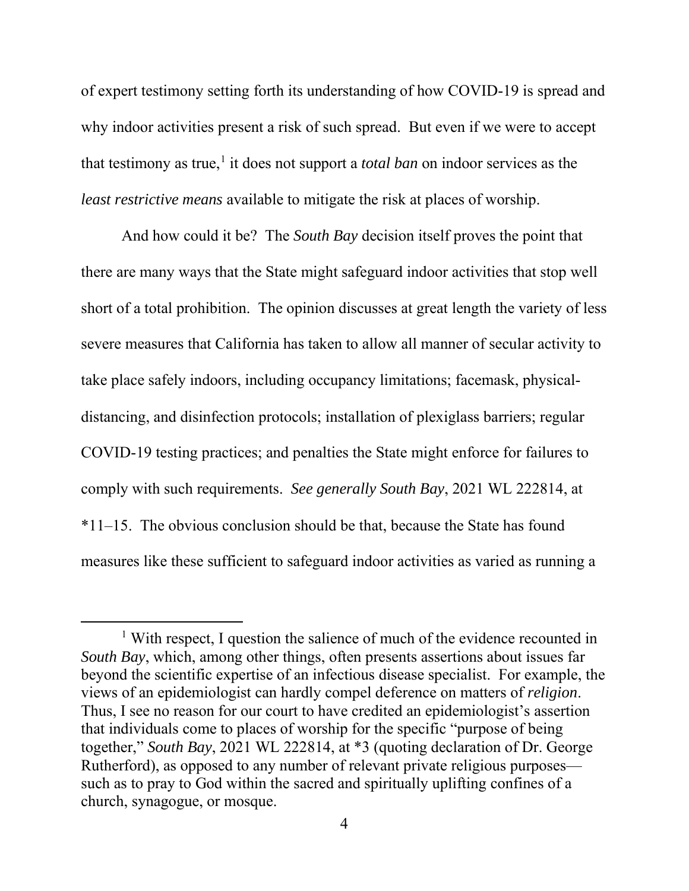of expert testimony setting forth its understanding of how COVID-19 is spread and why indoor activities present a risk of such spread. But even if we were to accept that testimony as true, $<sup>1</sup>$  it does not support a *total ban* on indoor services as the</sup> *least restrictive means* available to mitigate the risk at places of worship.

And how could it be? The *South Bay* decision itself proves the point that there are many ways that the State might safeguard indoor activities that stop well short of a total prohibition. The opinion discusses at great length the variety of less severe measures that California has taken to allow all manner of secular activity to take place safely indoors, including occupancy limitations; facemask, physicaldistancing, and disinfection protocols; installation of plexiglass barriers; regular COVID-19 testing practices; and penalties the State might enforce for failures to comply with such requirements. *See generally South Bay*, 2021 WL 222814, at \*11–15. The obvious conclusion should be that, because the State has found measures like these sufficient to safeguard indoor activities as varied as running a

<sup>&</sup>lt;sup>1</sup> With respect, I question the salience of much of the evidence recounted in *South Bay*, which, among other things, often presents assertions about issues far beyond the scientific expertise of an infectious disease specialist. For example, the views of an epidemiologist can hardly compel deference on matters of *religion*. Thus, I see no reason for our court to have credited an epidemiologist's assertion that individuals come to places of worship for the specific "purpose of being together," *South Bay*, 2021 WL 222814, at \*3 (quoting declaration of Dr. George Rutherford), as opposed to any number of relevant private religious purposes such as to pray to God within the sacred and spiritually uplifting confines of a church, synagogue, or mosque.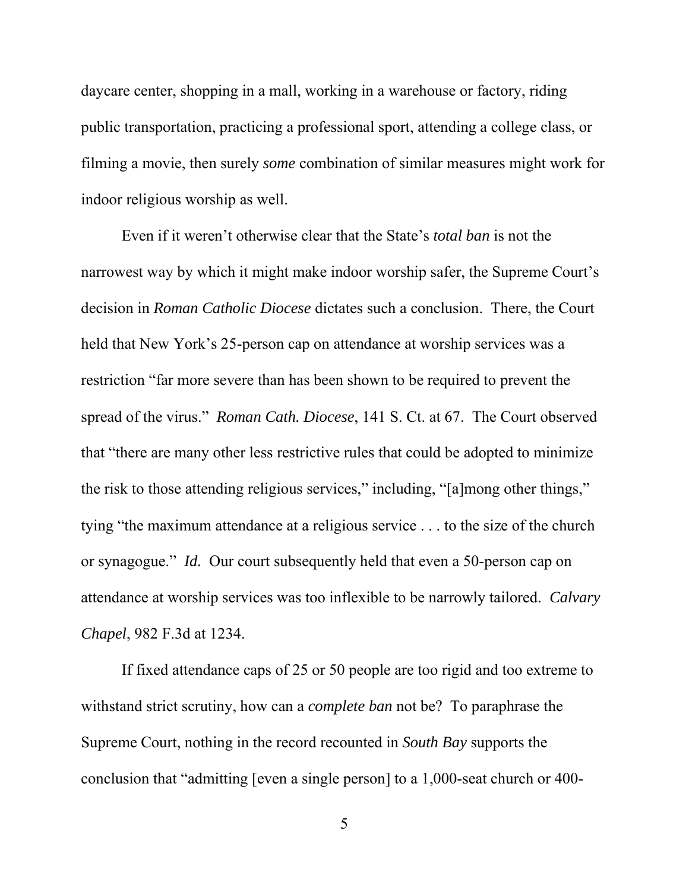daycare center, shopping in a mall, working in a warehouse or factory, riding public transportation, practicing a professional sport, attending a college class, or filming a movie, then surely *some* combination of similar measures might work for indoor religious worship as well.

Even if it weren't otherwise clear that the State's *total ban* is not the narrowest way by which it might make indoor worship safer, the Supreme Court's decision in *Roman Catholic Diocese* dictates such a conclusion. There, the Court held that New York's 25-person cap on attendance at worship services was a restriction "far more severe than has been shown to be required to prevent the spread of the virus." *Roman Cath. Diocese*, 141 S. Ct. at 67.The Court observed that "there are many other less restrictive rules that could be adopted to minimize the risk to those attending religious services," including, "[a]mong other things," tying "the maximum attendance at a religious service . . . to the size of the church or synagogue." *Id.* Our court subsequently held that even a 50-person cap on attendance at worship services was too inflexible to be narrowly tailored. *Calvary Chapel*, 982 F.3d at 1234.

If fixed attendance caps of 25 or 50 people are too rigid and too extreme to withstand strict scrutiny, how can a *complete ban* not be? To paraphrase the Supreme Court, nothing in the record recounted in *South Bay* supports the conclusion that "admitting [even a single person] to a 1,000-seat church or 400-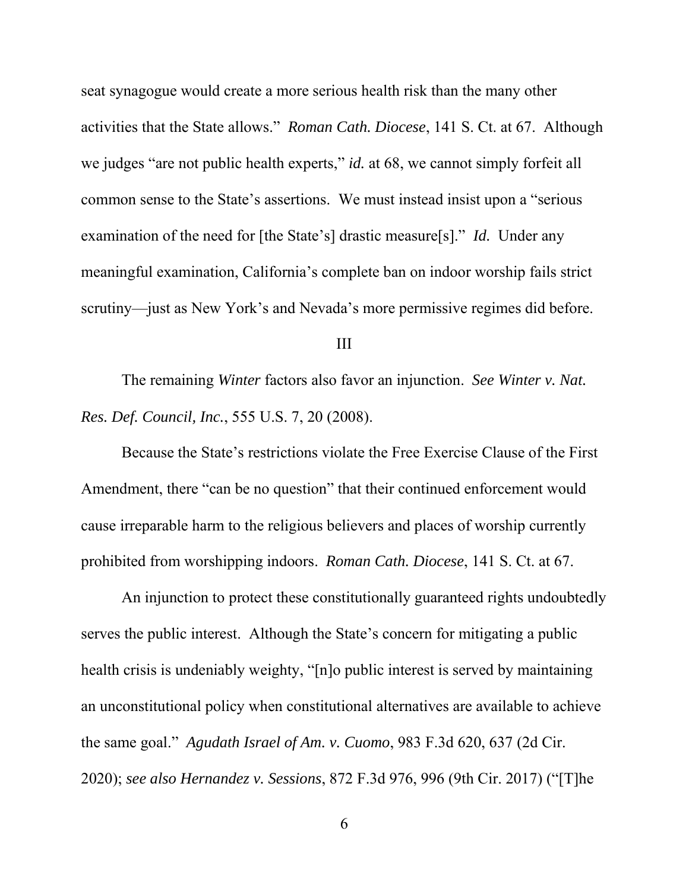seat synagogue would create a more serious health risk than the many other activities that the State allows." *Roman Cath. Diocese*, 141 S. Ct. at 67. Although we judges "are not public health experts," *id.* at 68, we cannot simply forfeit all common sense to the State's assertions. We must instead insist upon a "serious examination of the need for [the State's] drastic measure[s]." *Id.* Under any meaningful examination, California's complete ban on indoor worship fails strict scrutiny—just as New York's and Nevada's more permissive regimes did before.

### III

 The remaining *Winter* factors also favor an injunction. *See Winter v. Nat. Res. Def. Council, Inc.*, 555 U.S. 7, 20 (2008).

Because the State's restrictions violate the Free Exercise Clause of the First Amendment, there "can be no question" that their continued enforcement would cause irreparable harm to the religious believers and places of worship currently prohibited from worshipping indoors. *Roman Cath. Diocese*, 141 S. Ct. at 67.

An injunction to protect these constitutionally guaranteed rights undoubtedly serves the public interest. Although the State's concern for mitigating a public health crisis is undeniably weighty, "[n]o public interest is served by maintaining an unconstitutional policy when constitutional alternatives are available to achieve the same goal." *Agudath Israel of Am. v. Cuomo*, 983 F.3d 620, 637 (2d Cir. 2020); *see also Hernandez v. Sessions*, 872 F.3d 976, 996 (9th Cir. 2017) ("[T]he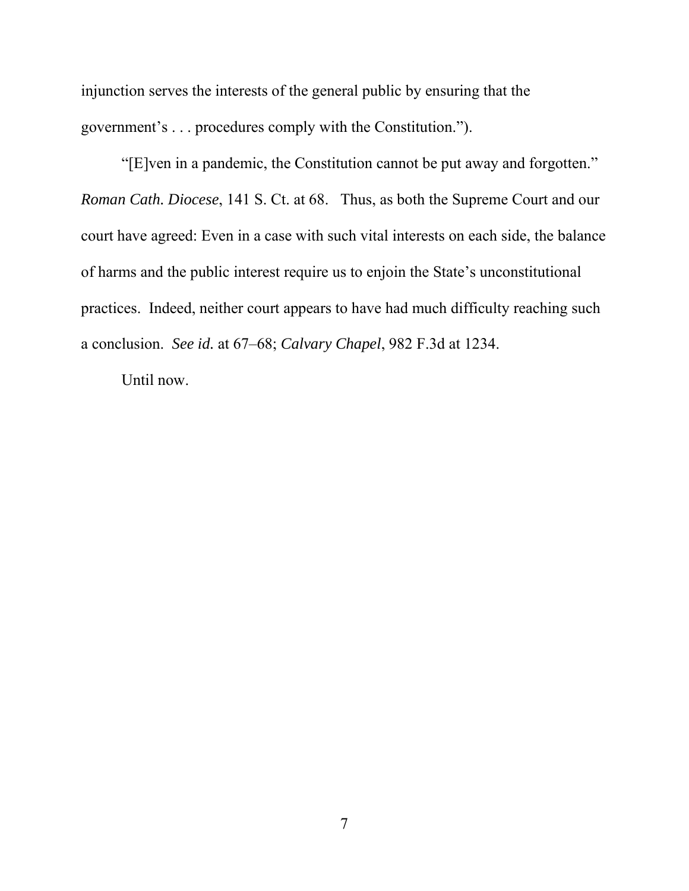injunction serves the interests of the general public by ensuring that the government's . . . procedures comply with the Constitution.").

"[E]ven in a pandemic, the Constitution cannot be put away and forgotten." *Roman Cath. Diocese*, 141 S. Ct. at 68. Thus, as both the Supreme Court and our court have agreed: Even in a case with such vital interests on each side, the balance of harms and the public interest require us to enjoin the State's unconstitutional practices. Indeed, neither court appears to have had much difficulty reaching such a conclusion. *See id.* at 67–68; *Calvary Chapel*, 982 F.3d at 1234.

Until now.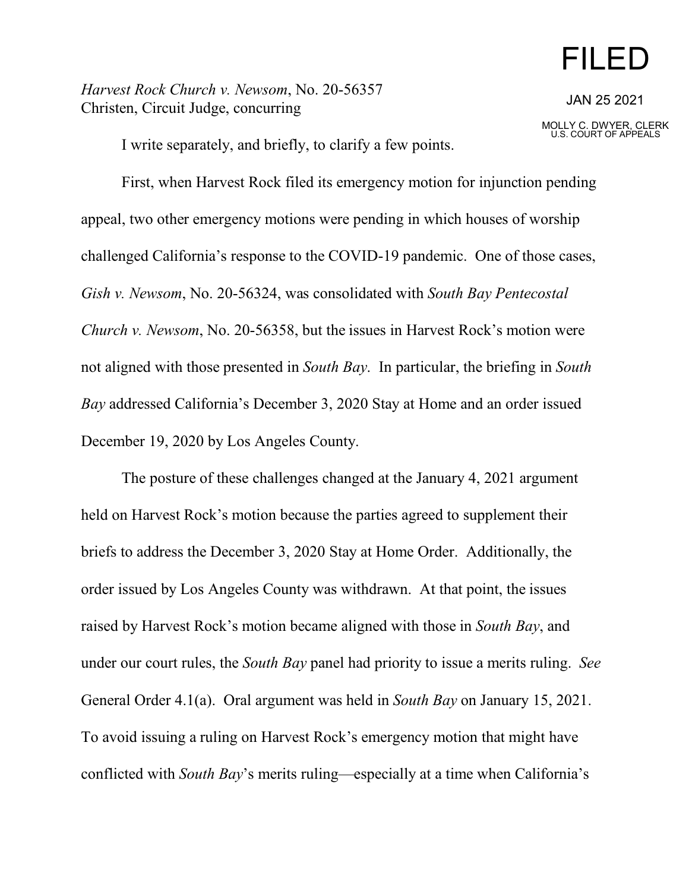# FILED

*Harvest Rock Church v. Newsom*, No. 20-56357 Christen, Circuit Judge, concurring

JAN 25 2021

MOLLY C. DWYER, CLERK U.S. COURT OF APPEALS

I write separately, and briefly, to clarify a few points.

First, when Harvest Rock filed its emergency motion for injunction pending appeal, two other emergency motions were pending in which houses of worship challenged California's response to the COVID-19 pandemic. One of those cases, *Gish v. Newsom*, No. 20-56324, was consolidated with *South Bay Pentecostal Church v. Newsom*, No. 20-56358, but the issues in Harvest Rock's motion were not aligned with those presented in *South Bay*. In particular, the briefing in *South Bay* addressed California's December 3, 2020 Stay at Home and an order issued December 19, 2020 by Los Angeles County.

The posture of these challenges changed at the January 4, 2021 argument held on Harvest Rock's motion because the parties agreed to supplement their briefs to address the December 3, 2020 Stay at Home Order. Additionally, the order issued by Los Angeles County was withdrawn. At that point, the issues raised by Harvest Rock's motion became aligned with those in *South Bay*, and under our court rules, the *South Bay* panel had priority to issue a merits ruling. *See* General Order 4.1(a). Oral argument was held in *South Bay* on January 15, 2021. To avoid issuing a ruling on Harvest Rock's emergency motion that might have conflicted with *South Bay*'s merits ruling—especially at a time when California's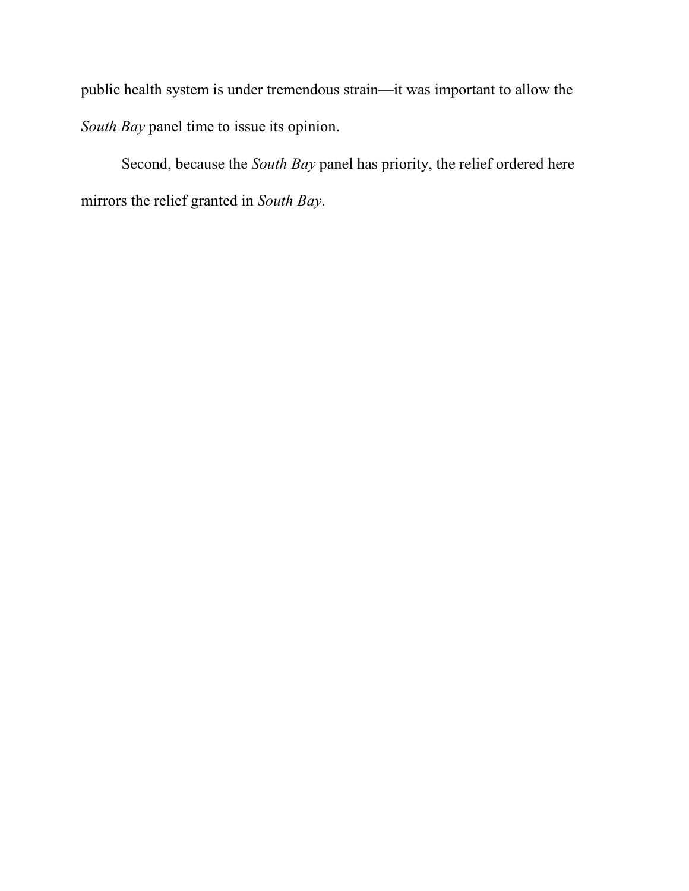public health system is under tremendous strain—it was important to allow the *South Bay* panel time to issue its opinion.

Second, because the *South Bay* panel has priority, the relief ordered here mirrors the relief granted in *South Bay*.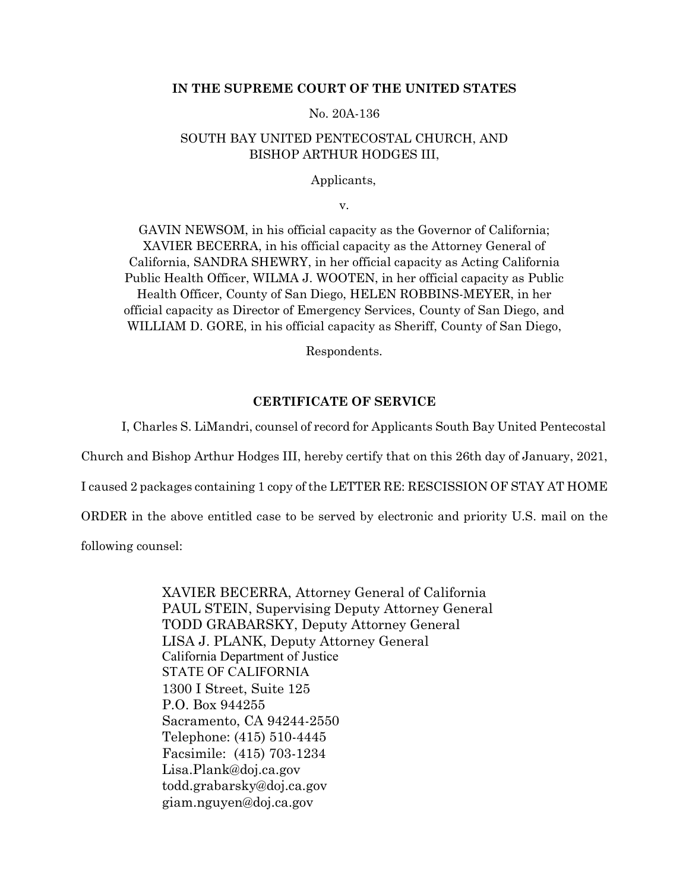## **IN THE SUPREME COURT OF THE UNITED STATES**

No. 20A-136

### SOUTH BAY UNITED PENTECOSTAL CHURCH, AND BISHOP ARTHUR HODGES III,

Applicants,

v.

GAVIN NEWSOM, in his official capacity as the Governor of California; XAVIER BECERRA, in his official capacity as the Attorney General of California, SANDRA SHEWRY, in her official capacity as Acting California Public Health Officer, WILMA J. WOOTEN, in her official capacity as Public Health Officer, County of San Diego, HELEN ROBBINS-MEYER, in her official capacity as Director of Emergency Services, County of San Diego, and WILLIAM D. GORE, in his official capacity as Sheriff, County of San Diego,

Respondents.

### **CERTIFICATE OF SERVICE**

I, Charles S. LiMandri, counsel of record for Applicants South Bay United Pentecostal

Church and Bishop Arthur Hodges III, hereby certify that on this 26th day of January, 2021,

I caused 2 packages containing 1 copy of the LETTER RE: RESCISSION OF STAY AT HOME

ORDER in the above entitled case to be served by electronic and priority U.S. mail on the

following counsel:

XAVIER BECERRA, Attorney General of California PAUL STEIN, Supervising Deputy Attorney General TODD GRABARSKY, Deputy Attorney General LISA J. PLANK, Deputy Attorney General California Department of Justice STATE OF CALIFORNIA 1300 I Street, Suite 125 P.O. Box 944255 Sacramento, CA 94244-2550 Telephone: (415) 510-4445 Facsimile: (415) 703-1234 Lisa.Plank@doj.ca.gov todd.grabarsky@doj.ca.gov [giam.nguyen@doj.ca.gov](mailto:giam.nguyen@doj.ca.gov)